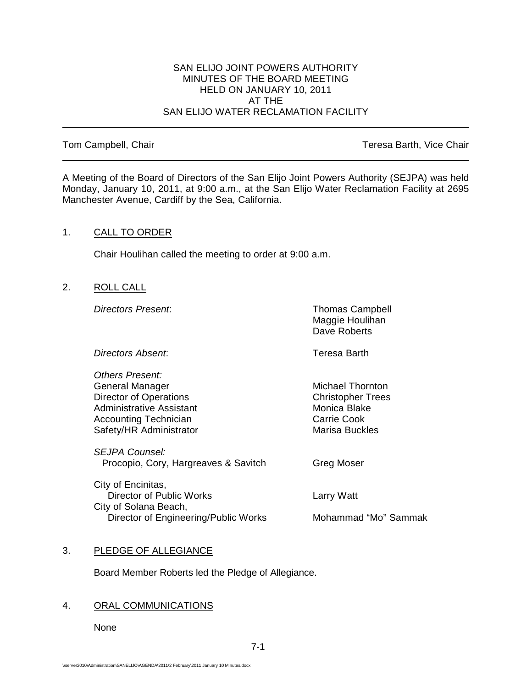### SAN ELIJO JOINT POWERS AUTHORITY MINUTES OF THE BOARD MEETING HELD ON JANUARY 10, 2011 AT THE SAN ELIJO WATER RECLAMATION FACILITY

Tom Campbell, Chair Teresa Barth, Vice Chair Teresa Barth, Vice Chair

A Meeting of the Board of Directors of the San Elijo Joint Powers Authority (SEJPA) was held Monday, January 10, 2011, at 9:00 a.m., at the San Elijo Water Reclamation Facility at 2695 Manchester Avenue, Cardiff by the Sea, California.

## 1. CALL TO ORDER

Chair Houlihan called the meeting to order at 9:00 a.m.

2. ROLL CALL

**Directors Present:** Thomas Campbell Maggie Houlihan Dave Roberts

*Directors Absent*: Teresa Barth

*Others Present:* General Manager **Michael Thornton**<br>
Director of Operations<br>
Director of Operations Director of Operations<br>
Administrative Assistant<br>
Administrative Assistant<br>
Christopher Trees Administrative Assistant Monica Blake Monica Blake<br>Accounting Technician Monica Blake Carrie Cook Accounting Technician and Carrie Cook<br>
Safety/HR Administrator Carrie Cook<br>
Marisa Buckles Safety/HR Administrator

*SEJPA Counsel:* Procopio, Cory, Hargreaves & Savitch Greg Moser

City of Encinitas, Director of Public Works **Larry Watt** City of Solana Beach, Director of Engineering/Public Works Mohammad "Mo" Sammak

# 3. PLEDGE OF ALLEGIANCE

Board Member Roberts led the Pledge of Allegiance.

# 4. ORAL COMMUNICATIONS

None

7-1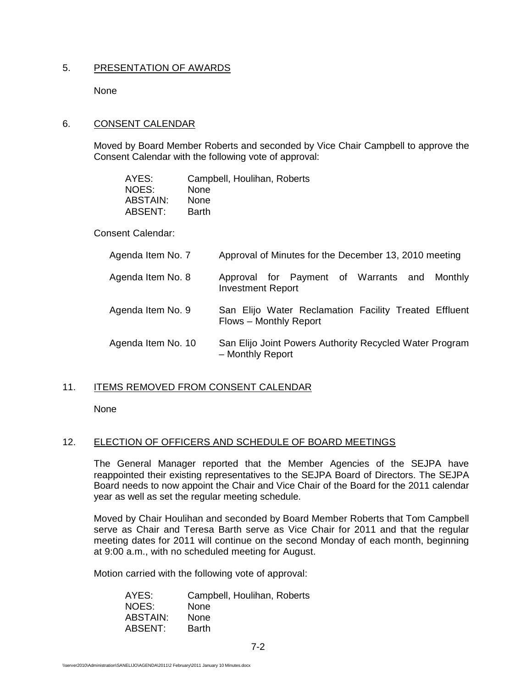## 5. PRESENTATION OF AWARDS

None

# 6. CONSENT CALENDAR

Moved by Board Member Roberts and seconded by Vice Chair Campbell to approve the Consent Calendar with the following vote of approval:

| AYES:    | Campbell, Houlihan, Roberts |
|----------|-----------------------------|
| NOES:    | None                        |
| ABSTAIN: | None                        |
| ABSENT:  | <b>Barth</b>                |

Consent Calendar:

| Agenda Item No. 7  | Approval of Minutes for the December 13, 2010 meeting                           |
|--------------------|---------------------------------------------------------------------------------|
| Agenda Item No. 8  | Approval for Payment of Warrants and Monthly<br><b>Investment Report</b>        |
| Agenda Item No. 9  | San Elijo Water Reclamation Facility Treated Effluent<br>Flows - Monthly Report |
| Agenda Item No. 10 | San Elijo Joint Powers Authority Recycled Water Program<br>- Monthly Report     |

### 11. ITEMS REMOVED FROM CONSENT CALENDAR

None

# 12. ELECTION OF OFFICERS AND SCHEDULE OF BOARD MEETINGS

The General Manager reported that the Member Agencies of the SEJPA have reappointed their existing representatives to the SEJPA Board of Directors. The SEJPA Board needs to now appoint the Chair and Vice Chair of the Board for the 2011 calendar year as well as set the regular meeting schedule.

Moved by Chair Houlihan and seconded by Board Member Roberts that Tom Campbell serve as Chair and Teresa Barth serve as Vice Chair for 2011 and that the regular meeting dates for 2011 will continue on the second Monday of each month, beginning at 9:00 a.m., with no scheduled meeting for August.

Motion carried with the following vote of approval:

| AYES:    | Campbell, Houlihan, Roberts |
|----------|-----------------------------|
| NOES:    | None                        |
| ABSTAIN: | <b>None</b>                 |
| ABSENT:  | <b>Barth</b>                |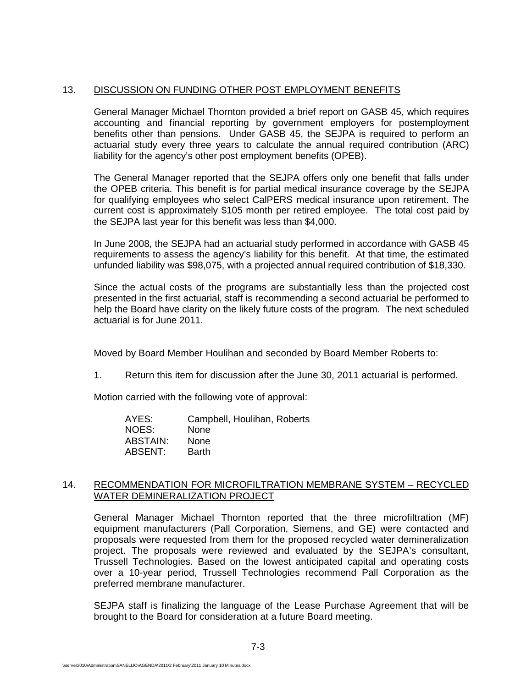# 13. DISCUSSION ON FUNDING OTHER POST EMPLOYMENT BENEFITS

General Manager Michael Thornton provided a brief report on GASB 45, which requires accounting and financial reporting by government employers for postemployment benefits other than pensions. Under GASB 45, the SEJPA is required to perform an actuarial study every three years to calculate the annual required contribution (ARC) liability for the agency's other post employment benefits (OPEB).

The General Manager reported that the SEJPA offers only one benefit that falls under the OPEB criteria. This benefit is for partial medical insurance coverage by the SEJPA for qualifying employees who select CalPERS medical insurance upon retirement. The current cost is approximately \$105 month per retired employee. The total cost paid by the SEJPA last year for this benefit was less than \$4,000.

In June 2008, the SEJPA had an actuarial study performed in accordance with GASB 45 requirements to assess the agency's liability for this benefit. At that time, the estimated unfunded liability was \$98,075, with a projected annual required contribution of \$18,330.

Since the actual costs of the programs are substantially less than the projected cost presented in the first actuarial, staff is recommending a second actuarial be performed to help the Board have clarity on the likely future costs of the program. The next scheduled actuarial is for June 2011.

Moved by Board Member Houlihan and seconded by Board Member Roberts to:

1. Return this item for discussion after the June 30, 2011 actuarial is performed.

Motion carried with the following vote of approval:

| AYES:    | Campbell, Houlihan, Roberts |
|----------|-----------------------------|
| NOES:    | None                        |
| ABSTAIN: | None                        |
| ABSENT:  | <b>Barth</b>                |

## 14. RECOMMENDATION FOR MICROFILTRATION MEMBRANE SYSTEM – RECYCLED WATER DEMINERALIZATION PROJECT

General Manager Michael Thornton reported that the three microfiltration (MF) equipment manufacturers (Pall Corporation, Siemens, and GE) were contacted and proposals were requested from them for the proposed recycled water demineralization project. The proposals were reviewed and evaluated by the SEJPA's consultant, Trussell Technologies. Based on the lowest anticipated capital and operating costs over a 10-year period, Trussell Technologies recommend Pall Corporation as the preferred membrane manufacturer.

SEJPA staff is finalizing the language of the Lease Purchase Agreement that will be brought to the Board for consideration at a future Board meeting.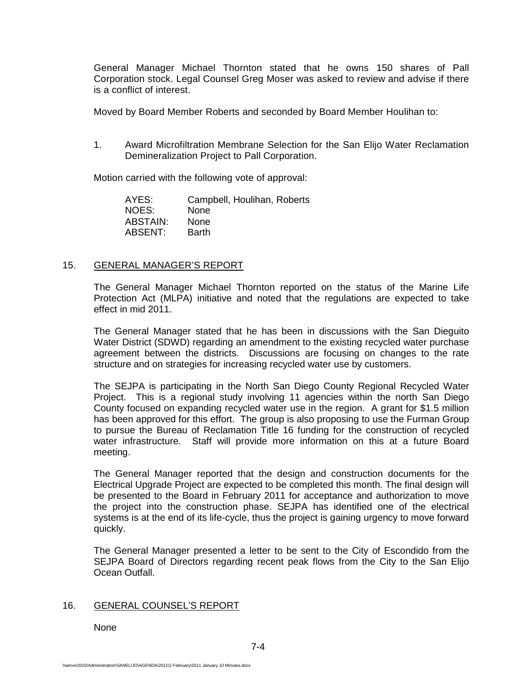General Manager Michael Thornton stated that he owns 150 shares of Pall Corporation stock. Legal Counsel Greg Moser was asked to review and advise if there is a conflict of interest.

Moved by Board Member Roberts and seconded by Board Member Houlihan to:

1. Award Microfiltration Membrane Selection for the San Elijo Water Reclamation Demineralization Project to Pall Corporation.

Motion carried with the following vote of approval:

| AYES:    | Campbell, Houlihan, Roberts |
|----------|-----------------------------|
| NOES:    | None                        |
| ABSTAIN: | <b>None</b>                 |
| ABSENT:  | <b>Barth</b>                |

### 15. GENERAL MANAGER'S REPORT

The General Manager Michael Thornton reported on the status of the Marine Life Protection Act (MLPA) initiative and noted that the regulations are expected to take effect in mid 2011.

The General Manager stated that he has been in discussions with the San Dieguito Water District (SDWD) regarding an amendment to the existing recycled water purchase agreement between the districts. Discussions are focusing on changes to the rate structure and on strategies for increasing recycled water use by customers.

The SEJPA is participating in the North San Diego County Regional Recycled Water Project. This is a regional study involving 11 agencies within the north San Diego County focused on expanding recycled water use in the region. A grant for \$1.5 million has been approved for this effort. The group is also proposing to use the Furman Group to pursue the Bureau of Reclamation Title 16 funding for the construction of recycled water infrastructure. Staff will provide more information on this at a future Board meeting.

The General Manager reported that the design and construction documents for the Electrical Upgrade Project are expected to be completed this month. The final design will be presented to the Board in February 2011 for acceptance and authorization to move the project into the construction phase. SEJPA has identified one of the electrical systems is at the end of its life-cycle, thus the project is gaining urgency to move forward quickly.

The General Manager presented a letter to be sent to the City of Escondido from the SEJPA Board of Directors regarding recent peak flows from the City to the San Elijo Ocean Outfall.

### 16. GENERAL COUNSEL'S REPORT

None